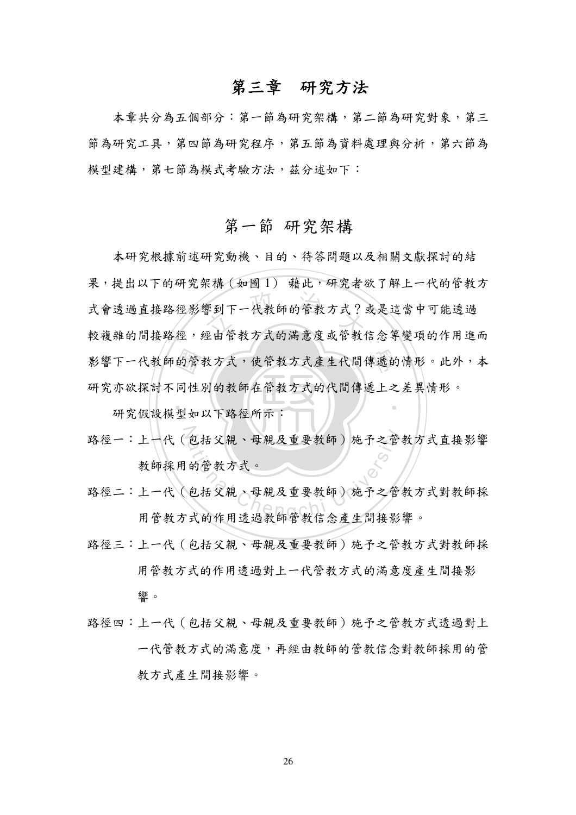#### 第三章 研究方法

本章共分為五個部分:第一節為研究架構,第二節為研究對象,第三 節為研究工具,第四節為研究程序,第五節為資料處理與分析,第六節為 模型建構,第七節為模式考驗方法,茲分述如下:

#### 第一節 研究架構

本研究根據前述研究動機、目的、待答問題以及相關文獻探討的結 果,提出以下的研究架構(如圖1) 藉此,研究者欲了解上一代的管教方 式會透過直接路徑影響到下一代教師的管教方式?或是這當中可能透過 較複雜的間接路徑,經由管教方式的滿意度或管教信念等變項的作用進而 影響下一代教師的管教方式,使管教方式產生代間傳遞的情形。此外,本 研究亦欲探討不同性別的教師在管教方式的代間傳遞上之差異情形。

研究假設模型如以下路徑所示:

- 路徑一:上一代 ( 包括父親、母親及重要教師) 施予之管教方式直接影響 教師採用的管教方式。
- 路徑二:上一代(包括父親、母親及重要教師)施予之管教方式對教師採 用管教方式的作用诱過教師管教信念產生間接影響。
- 路徑三:上一代 (包括父親、母親及重要教師) 施予之管教方式對教師採 用管教方式的作用诱過對上一代管教方式的滿意度產生間接影 響。
- 路徑四:上一代 ( 包括父親、母親及重要教師) 施予之管教方式透過對上 一代管教方式的滿意度,再經由教師的管教信念對教師採用的管 教方式產生間接影響。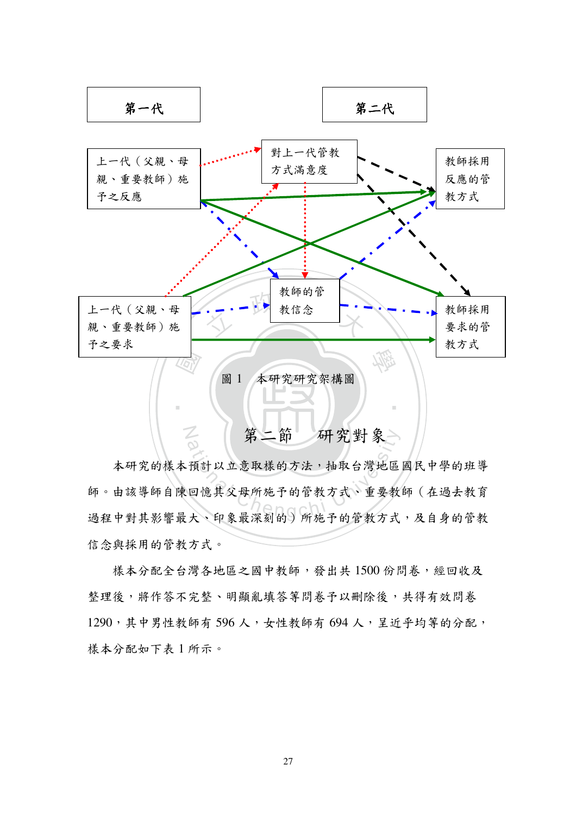

本研究的樣本預計以立意取樣的方法,抽取台灣地區國民中學的班導 師。由該導師自陳回憶其父母所施予的管教方式、重要教師(在過去教育 過程中對其影響最大、印象最深刻的)所施予的管教方式,及自身的管教 信念與採用的管教方式。

樣本分配全台灣各地區之國中教師,發出共1500份問卷,經回收及 整理後,將作答不完整、明顯亂填答等問卷予以刪除後,共得有效問卷 1290,其中男性教師有596人,女性教師有694人,呈近乎均等的分配, 樣本分配如下表 1 所示。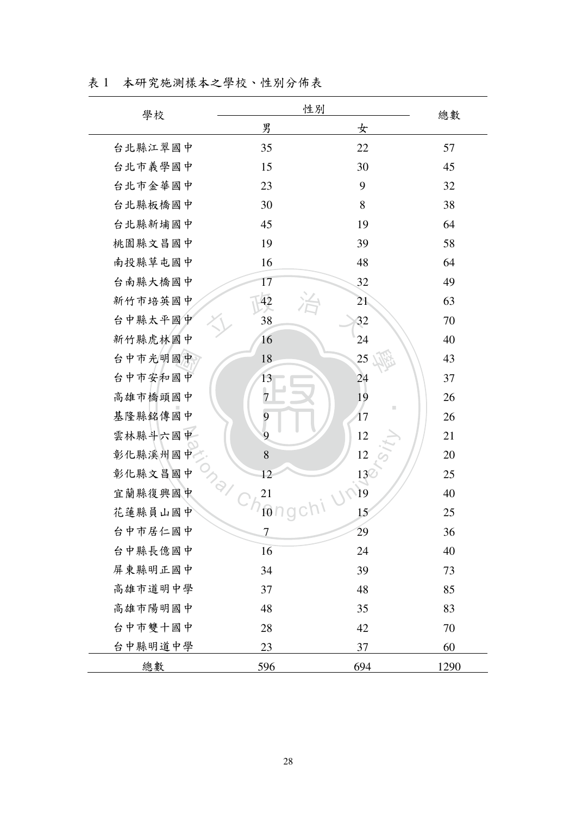|  | 表 1 本研究施測樣本之學校、性別分佈表 |  |
|--|----------------------|--|
|--|----------------------|--|

| 學校      | 性別                                      |                 | 總數   |
|---------|-----------------------------------------|-----------------|------|
|         | 男                                       | 女               |      |
| 台北縣江翠國中 | 35                                      | 22              | 57   |
| 台北市義學國中 | 15                                      | 30              | 45   |
| 台北市金華國中 | 23                                      | 9               | 32   |
| 台北縣板橋國中 | 30                                      | 8               | 38   |
| 台北縣新埔國中 | 45                                      | 19              | 64   |
| 桃園縣文昌國中 | 19                                      | 39              | 58   |
| 南投縣草屯國中 | 16                                      | 48              | 64   |
| 台南縣大橋國中 | 17                                      | 32              | 49   |
| 新竹市培英國中 | 42                                      | 21              | 63   |
| 台中縣太平國中 | 38                                      | 32              | 70   |
| 新竹縣虎林國中 | 16                                      | 24              | 40   |
| 台中市光明國中 | 18                                      | 25              | 43   |
| 台中市安和國中 | 13                                      | 24              | 37   |
| 高雄市橋頭國中 | $\overline{7}$                          | 19              | 26   |
| 基隆縣銘傳國中 | 9                                       | ш<br>$17\,$     | 26   |
| 雲林縣斗六國中 | 9                                       | 12              | 21   |
| 彰化縣溪州國中 | 8                                       | 12              | 20   |
| 彰化縣文昌國中 | 12                                      | $\frac{13}{19}$ | 25   |
| 宜蘭縣復興國中 | $\frac{1}{2}$ $\frac{C_{h_0}}{C_{h_0}}$ |                 | 40   |
| 花蓮縣員山國中 |                                         | 15              | 25   |
| 台中市居仁國中 | Ι                                       | 29              | 36   |
| 台中縣長億國中 | 16                                      | 24              | 40   |
| 屏東縣明正國中 | 34                                      | 39              | 73   |
| 高雄市道明中學 | 37                                      | 48              | 85   |
| 高雄市陽明國中 | 48                                      | 35              | 83   |
| 台中市雙十國中 | 28                                      | 42              | 70   |
| 台中縣明道中學 | 23                                      | 37              | 60   |
| 總數      | 596                                     | 694             | 1290 |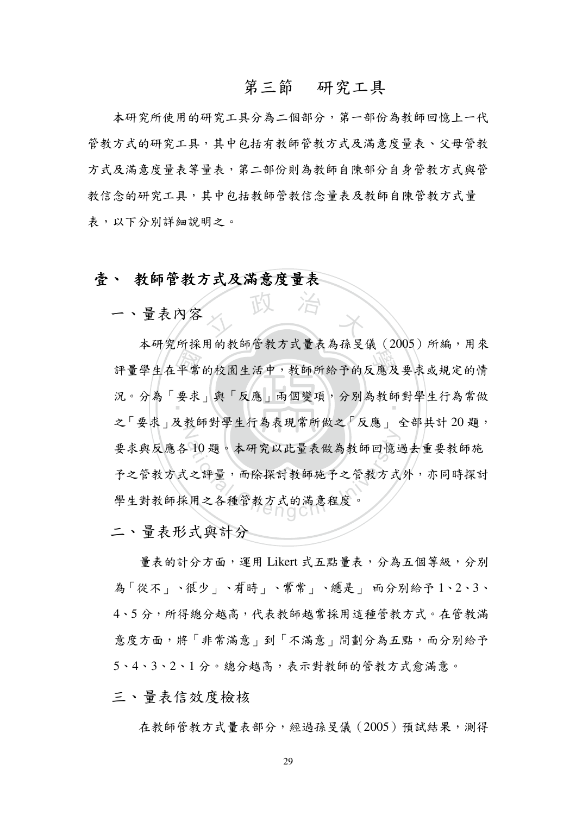#### 第三節 研究工具

本研究所使用的研究工具分為二個部分,第一部份為教師回憶上一代 管教方式的研究工具,其中包括有教師管教方式及滿意度量表、父母管教 方式及滿意度量表等量表,第二部份則為教師自陳部分自身管教方式與管 教信念的研究工具,其中包括教師管教信念量表及教師自陳管教方式量 表,以下分別詳細說明之。

#### 壹、 教師管教方式及滿意度量表

一、量表内容

評量學生在平常的校園生活中,教師所給予的反應及要求或規定的情況。分為「要求」與「反應」兩個變項,分別為教師對學生行為常做 人 政 治 木 况。分為 要求」與 以應」兩個變項,分別為教師對学生行為常做 之「要求」及教師對學生行為表現常所做之「反應」 全部共計 20 題, 10題。本研究以此量表做為教師回憶过<br>之評量,而除探討教師施予之管教方式<br>用之各種管教方式的滿意程度。 本研究所採用的教師管教方式量表為孫旻儀(2005)所編,用來 要求與反應各10題。本研究以此量表做為教師回憶過去重要教師施 予之管教方式文书是評量,而除探討教師施予之管教方式外,亦同時探討 學生對教師採用之各種管教方式的滿意程度。

二、量表形式與計分

量表的計分方面,運用 Likert 式五點量表,分為五個等級,分別 為「從不」、很少」、有時」、常常」、總是」 而分別給予 1、2、3、 4、5分,所得總分越高,代表教師越常採用這種管教方式。在管教滿 意度方面,將「非常滿意」到「不滿意」間劃分為五點,而分別給予 5、4、3、2、1分。總分越高,表示對教師的管教方式愈滿意。

三、量表信效度檢核

在教師管教方式量表部分,經過孫旻儀 (2005) 預試結果,測得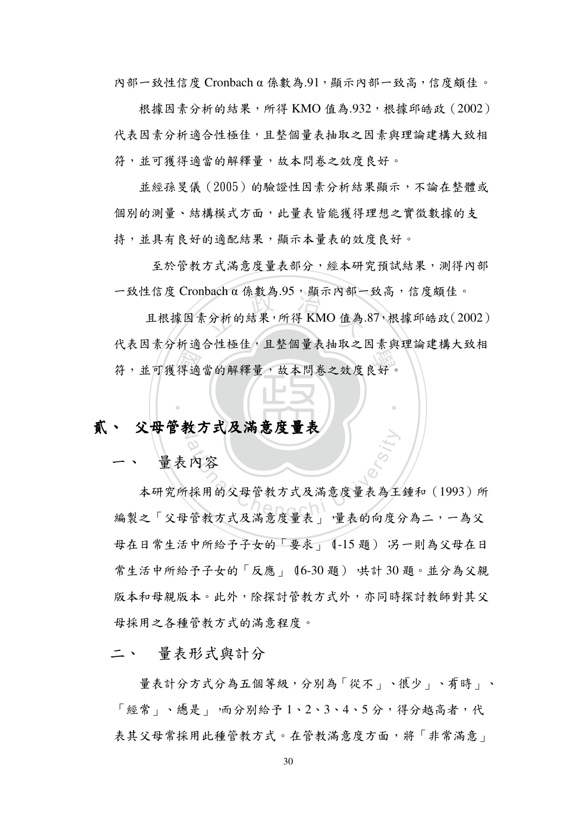內部一致性信度 Cronbach α 係數為.91, 顯示內部一致高, 信度頗佳。

根據因素分析的結果, 所得 KMO 值為.932, 根據邱皓政 (2002) 代表因素分析適合性極佳,且整個量表抽取之因素與理論建構大致相 符,並可獲得適當的解釋量,故本問卷之效度良好。

並經孫旻儀 (2005) 的驗證性因素分析結果顯示, 不論在整體或 個別的測量、結構模式方面,此量表皆能獲得理想之實徵數據的支 持,並具有良好的適配結果,顯示本量表的效度良好。

至於管教方式滿意度量表部分,經本研究預試結果,測得內部  $-\frac{1}{2}$ 致性信度 Cronbach  $\alpha$  係數為.95, 顯示內部一致高, 信度頗佳。

 國 學 ಄Ǵ٠ёᕇளޑှញໆǴࡺҁୢڔϐਏؼࡋӳǶ <sup>立</sup> <sup>政</sup> <sup>治</sup> <sup>大</sup> 且根據因素分析的結果,所得 KMO 值為.87,根據邱皓政(2002) 代表因素分析適合性極佳,且整個量表抽取之因素與理論建構大致相

‧

## 贰丶 父母官教万式及祸惠度重表

量表內容

《以入人》心理化<br>内容<br>採用的父母管教方式及满意度量表為王<br>·管教方式及満意度量表, ·量表的向度 本研究所採用的父母管教方式及滿意度量表為王鍾和 (1993) 所 編製之「父母管教方式及滿意度量表」, 量表的向度分為二, 一為父 母在日常生活中所給予子女的「要求」(-15題) 另一則為父母在日 常生活中所給予子女的「反應」 (6-30題) 共計 30題。並分為父親 版本和母親版本。此外,除探討管教方式外,亦同時探討教師對其父 母採用之各種管教方式的滿意程度。

二、 量表形式與計分

量表計分方式分為五個等級,分別為「從不」、很少」、有時」、 「經常」、總是 」 而分別給予 1、2、3、4、5 分,得分越高者,代 表其父母常採用此種管教方式。在管教滿意度方面,將「非常滿意」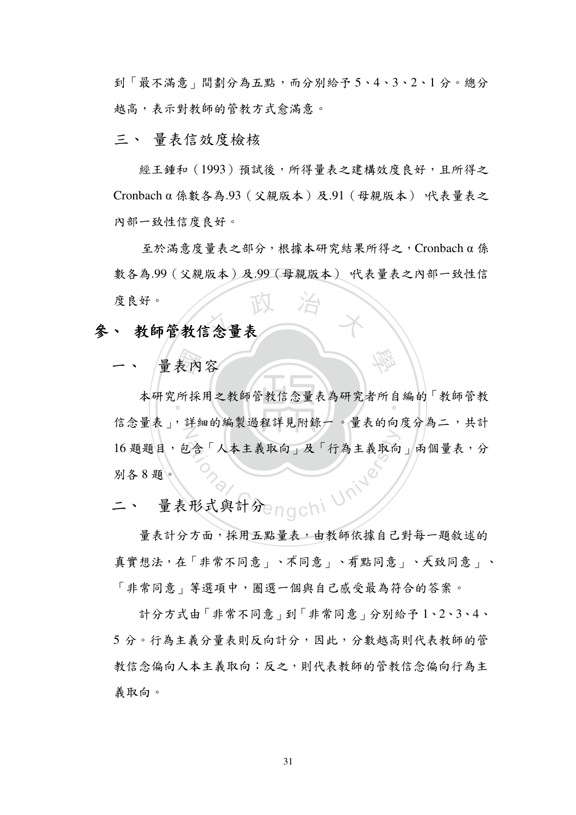到「最不滿意」間劃分為五點,而分別給予5、4、3、2、1分。總分 越高,表示對教師的管教方式愈滿意。

#### 三、 量表信效度檢核

經王鍾和 (1993) 預試後, 所得量表之建構效度良好, 且所得之 Cronbach α 係數各為.93 (父親版本)及.91 (母親版本) 代表量表之 內部一致性信度良好。

度良好。<br>参、教師管教信念量表  $\Delta E$ 於滿意度量表之部分,根據本研究結果所得之, Cronbach a 係 數各為.99(父親版本)及.99(母親版本) 代表量表之內部一致性信 度良好。

一、 厘衣内谷

表內採 本研究所採用之教師官教信念重表為研究者所目編的 教師官教<br>-N ۺߞໆ߄ȩǴ၁ಒޑጓᇙၸำ၁ߕـᒵ Ƕໆޑ߄ӛࡋϩࣁΒǴӅी AF人本主義取向」及「行為主義取向<br>のクランストンの<br>形式與計分engchi University 16 題題目,包含「人本主義取向」及「行為主義取向」兩個量表,分 別各8題。

學

量表形式與計分enachi

量表計分方面,採用五點量表,由教師依據自己對每一題敘述的 真實想法,在「非常不同意」、不同意」、有點同意」、天致同意」、 「非常同意」等選項中,圈選一個與自己感受最為符合的答案。

計分方式由「非常不同意」到「非常同意」分別給予1、2、3、4、 5分。行為主義分量表則反向計分,因此,分數越高則代表教師的管 教信念偏向人本主義取向;反之,則代表教師的管教信念偏向行為主 義取向。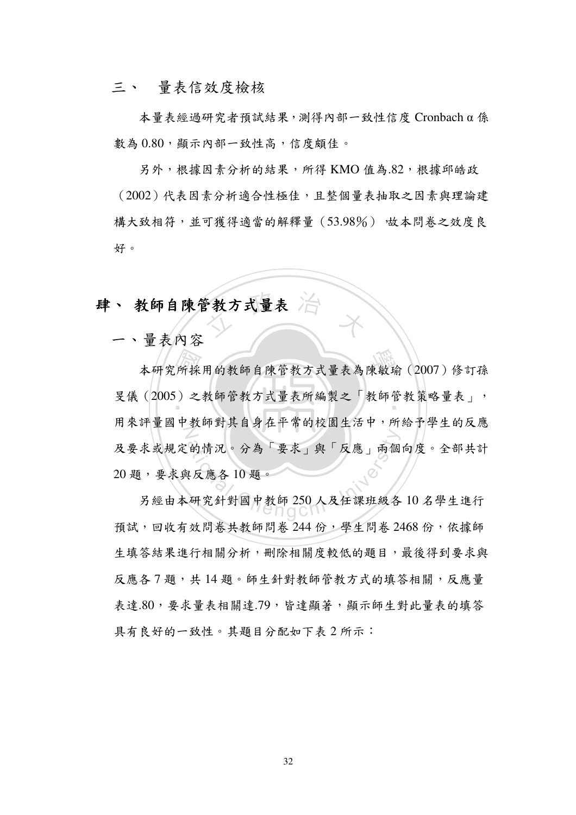#### 三、 量表信效度檢核

 $\pm \frac{1}{2}$  本量表經過研究者預試結果, 測得內部一致性信度 Cronbach a 係 數為 0.80, 顯示內部一致性高, 信度頗佳。

另外, 根據因素分析的結果, 所得 KMO 值為.82, 根據邱皓政 (2002)代表因素分析適合性極佳,且整個量表抽取之因素與理論建 構大致相符,並可獲得適當的解釋量 (53.98%) 放本問卷之效度良 好。

## 教方式量表 治 拝丶 教師目陳官教刀式重衣

一、量表內容

所採 本研究所採用的教師自陳管教方式量表為陳敏瑜 (2007) 修訂孫 旻儀 (2005) 之教師管教方式量表所編製之「教師管教策略量表」, 用 米 評 重 國 屮 教 帥 對 具 目 身 仕 十 常 的 校 国 生 沽 屮 , 所 给 寸 学 生 的 及 應<br>一 的情況。分為「要求」與「反應」兩個<br><br><br>研究針對國中教師 250 人及任課班級各<br> 及要永或規定的情况。分為「要永」與「反應」兩個向度。全部共計 20題,要求與反應各10題。

另經由本研究針對國中教師 250 人及任課班級各 10 名學生進行 預試,回收有效問卷共教師問卷 244 份,學生問卷 2468 份,依據師 生填答結果進行相關分析, 刪除相關度較低的題目, 最後得到要求與 反應各7題,共14題。師生針對教師管教方式的填答相關,反應量 表達.80,要求量表相關達.79,皆達顯著,顯示師生對此量表的填答 具有良好的一致性。其題目分配如下表2所示:

32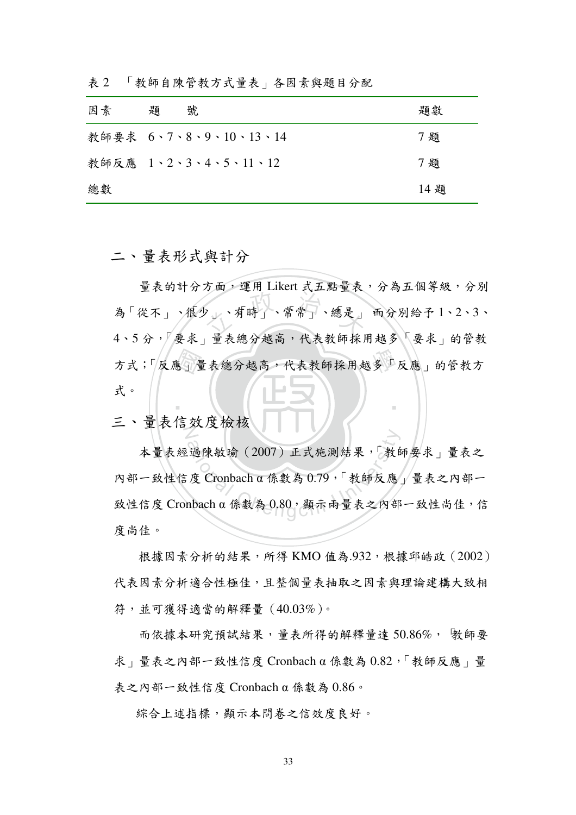| 因素 | 題 | 號                     | 題數   |
|----|---|-----------------------|------|
|    |   | 教師要求 6、7、8、9、10、13、14 | 7題   |
|    |   | 教師反應 1、2、3、4、5、11、12  | 7題   |
| 總數 |   |                       | 14 題 |

表 2 「教師自陳管教方式量表」各因素與題目分配

二、量表形式與計分

方式;反應」量表總分越高,代表教師採用越多「反應」的管教方<br>式。 少」、有時」、常常」、總是」 ‧ 量表的計分方面, 運用 Likert 式五點量表, 分為五個等級, 分別 為「從不」、很少」、有時」、常常」、總是」 而分別給予 1、2、3、 4、5分,「要求」量表總分越高,代表教師採用越多「要求」的管教 式。

二、重衣信效度檢极

a 通陳敏瑜 (2007) 正式施測結果,「教自度 Cronbach α 係數為 0.79,「教師反應」 本量表經過陳敏瑜 (2007) 正式施測結果,「教師要求」量表之 內部一致性信度 Cronbach α 係數為 0.79,「教師反應」量表之內部一 致性信度 Cronbach α 係數為  $0.80$ , 顯示兩量表之內部一致性尚佳,信 度尚佳。

根據因素分析的結果,所得 KMO 值為.932,根據邱皓政 (2002) 代表因素分析適合性極佳,且整個量表抽取之因素與理論建構大致相 符,並可獲得適當的解釋量 (40.03%)。

而依據本研究預試結果, 量表所得的解釋量達 50.86%, 毀師要 求 | 量表之內部一致性信度 Cronbach α 係數為 0.82, 「教師反應 | 量 表之內部一致性信度 Cronbach α 係數為 0.86。

綜合上述指標,顯示本問卷之信效度良好。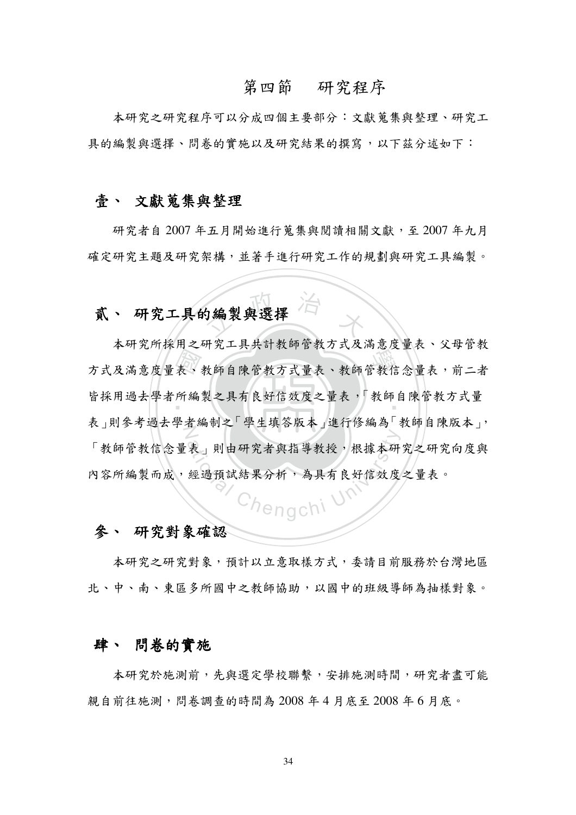#### 第四節 研究程序

本研究之研究程序可以分成四個主要部分:文獻蒐集與整理、研究工 具的編製與選擇、問卷的實施以及研究結果的撰寫,以下茲分述如下:

#### 壹、 文獻 蒐集與整理

研究者自 2007 年五月開始進行蒐集與閱讀相關文獻,至 2007 年九月 確定研究主題及研究架構,並著手進行研究工作的規劃與研究工具編製。

## 5編製與選擇 贰丶 研究工具的编袈舆送择

表 所編 为式及滿意度量表、教師自陳管教方式量表、教師管教信念量表,前二者 皆採用過去学者所編製之具有艮奸信效度之重表, '教師目陳官教乃式重 表」則奓考過云学者編制之 学生填合版本」進行修編為 教師目陳版本」, 表」則由研究者與指導教授,根據本研<br>經過預試結果分析,為具有良好信效度 本研究所採用之研究工具共計教師管教方式及滿意度量表、父母管教 「教師管教信念量表」則由研究者與指導教授,根據本研究之研究向度與 YA 谷所編袈而成, 經過損試結未分析, 為具有民対信效度之重表。

#### 參、 研究對象確認

本研究之研究對象,預計以立意取樣方式,委請目前服務於台灣地區 北、中、南、東區多所國中之教師協助,以國中的班級導師為抽樣對象。

#### 肆、 問卷的實施

本研究於施測前,先與選定學校聯繫,安排施測時間,研究者盡可能 親自前往施測,問卷調查的時間為 2008 年4月底至 2008 年6月底。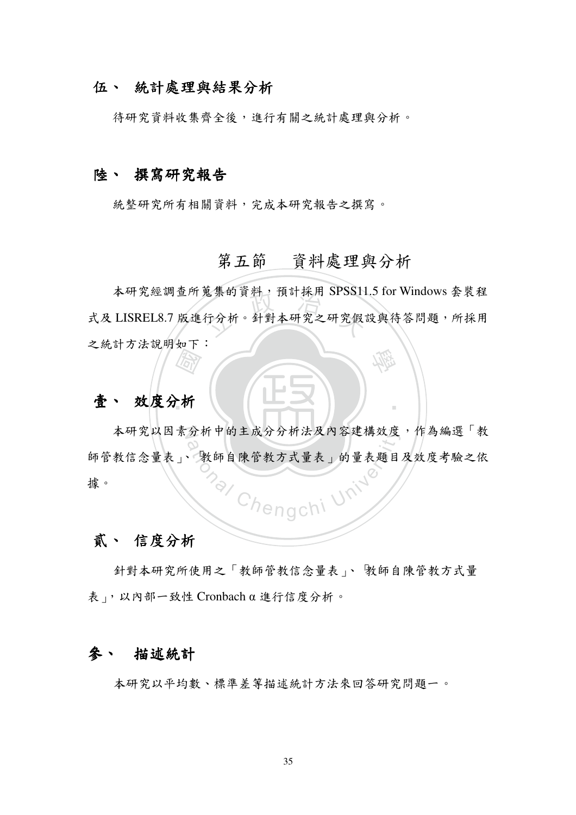#### 伍、 統計處理與結果分析

待研究資料收集齊全後,進行有關之統計處理與分析。

#### 陸、 撰寫研究報告

統整研究所有相關資料,完成本研究報告之撰寫。

### 第五節 資料處理與分析

本研究經調查所蒐集的資料,預計採用 SPSS11.5 for Windows 套裝程 式及 LISREL8.7 版進行分析。針對本研究之研究假設與待答問題,所採用 之統計方法說明如下:

#### 壹、 效度分析

本研究以因素分析中的主成分分析法及内容建構效度,作為編選「教 師管教信念量表」、 教師自陳管教方式量表」的量表題目及效度考驗之依 hengchi 據。

#### 貳、 信度分析

針對本研究所使用之「教師管教信念量表」、 教師自陳管教方式量 表」,以内部一致性 Cronbach α 進行信度分析。

#### 描述統計 參、

本研究以平均數、標準差等描述統計方法來回答研究問題一。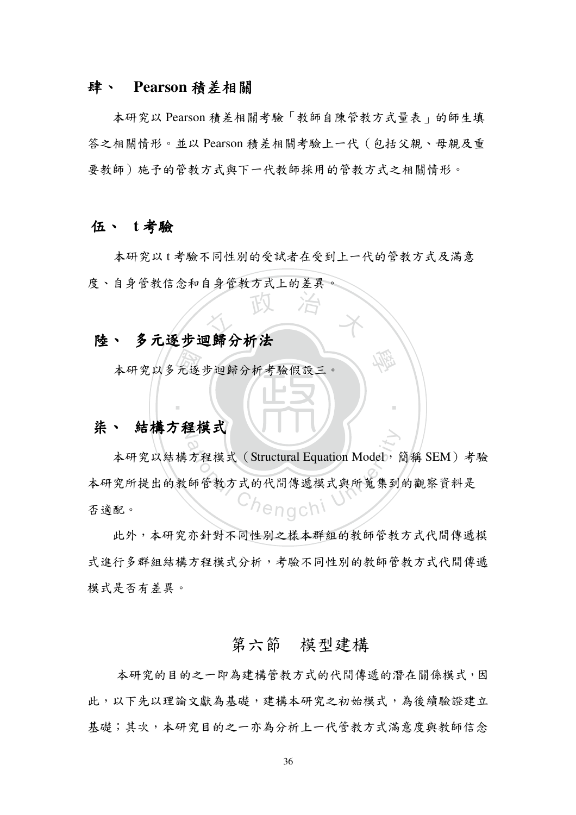#### 肆、 Pearson 積差相關

本研究以 Pearson 積差相關考驗「教師自陳管教方式量表」的師生填 答之相關情形。並以 Pearson 積差相關考驗上一代 (包括父親、母親及重 要教師)施予的管教方式在国情形。

#### 伍、 t考驗

本研究以t考驗不同性別的受試者在受到上一代的管教方式及滿意 度、自身管教信念和自身管教方式上的差異。

## 人 政 治 木 陸、 多元逐步迴歸分析法

元逐 本研究以夕兀逐步迴蹄分析考驗假設二。

### 朱丶 結構刀程模式

エ保ス<br>方程模式 (Structural Equation Model, 育<br>師管教方式的代間傳遞模式與所蒐集到 本研究以結構方程模式 (Structural Equation Model, 簡稱 SEM) 考驗 本研究所提出的教師官教万式的代间傳遞模式與所鬼集到的觀察貧料走 否適配。

學

‧

此外,本研究亦針對不同性別之樣本群組的教師管教方式代間傳遞模 式進行多群組結構方程模式分析,考驗不同性別的教師管教方式代間傳遞 模式是否有差異。

### 第六節 模型建構

本研究的目的之一即為建構管教方式的代間傳遞的潛在關係模式,因 此,以下先以理論文獻為基礎,建構本研究之初始模式,為後續驗證建立 基礎;其次,本研究目的之一亦為分析上一代管教方式滿意度與教師信念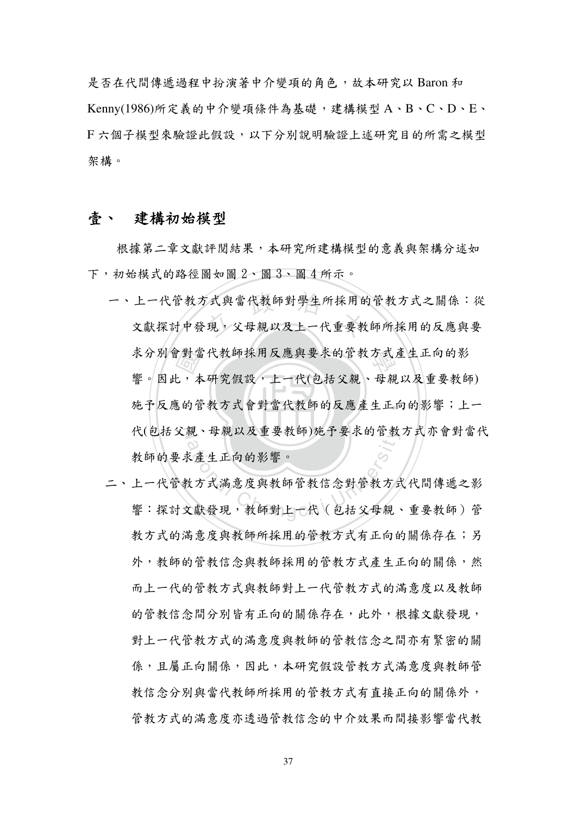是否在代間傳遞過程中扮演著中介變項的角色, 故本研究以 Baron 和 Kenny(1986)所定義的中介變項條件為基礎,建構模型A、B、C、D、E、 F六個子模型來驗證此假設,以下分別說明驗證上述研究目的所需之模型 架構。

#### 建構初始模型 壹丶

根據第二章文獻評閱結果,本研究所建構模型的意義與架構分述如 下,初始模式的路徑圖如圖2、圖3、圖4所示。

- 一、上一代管教方式與當代教師對學生所採用的管教方式之關係:從 文獻探討中發現,父母親以及上一代重要教師所採用的反應與要 求分別會對當代教師採用反應與要求的管教方式產生正向的影 響。因此,本研究假設,上一代(包括父親、母親以及重要教師) 施予反應的管教方式會對當代教師的反應產生正向的影響;上一 代(包括父親、母親以及重要教師)施予要求的管教方式亦會對當代 教師的要求產生正向的影響。
- 二、上一代管教方式滿意度與教師管教信念對管教方式代間傳遞之影 響:探討文獻發現,教師對上一代(包括父母親、重要教師)管 教方式的满意度與教師所採用的管教方式有正向的關係存在;另 外,教師的管教信念與教師採用的管教方式產生正向的關係,然 而上一代的管教方式與教師對上一代管教方式的滿意度以及教師 的管教信念間分別皆有正向的關係存在,此外,根據文獻發現, 對上一代管教方式的滿意度與教師的管教信念之間亦有緊密的關 係,且屬正向關係,因此,本研究假設管教方式滿意度與教師管 教信念分別與當代教師所採用的管教方式有直接正向的關係外, 管教方式的满意度亦透過管教信念的中介效果而間接影響當代教

37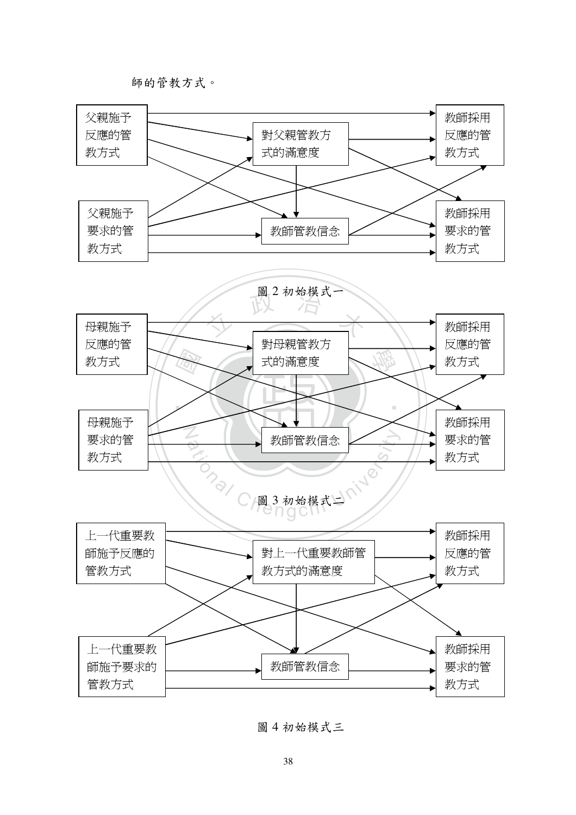師的管教方式。



#### 圖 4 初始模式三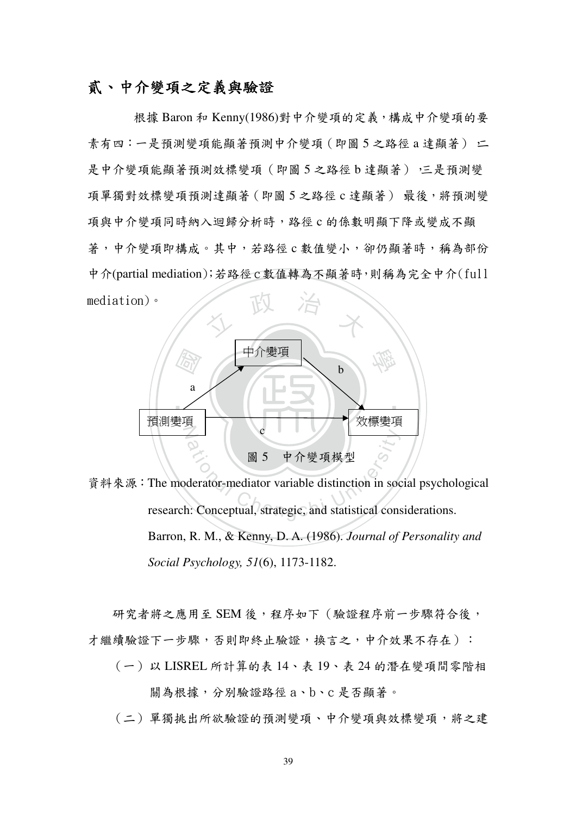#### 貳、中介變項之定義與驗證

根據 Baron 和 Kenny(1986)對中介變項的定義,構成中介變項的要 素有四:一是預測變項能顯著預測中介變項(即圖5之路徑a達顯著) 二 是中介變項能顯著預測效標變項 (即圖 5 之路徑 b 達顯著) ·三是預測變 項單獨對效標變項預測達顯著 (即圖 5 之路徑 c 達顯著) 最後,將預測變 項與中介變項同時納入迴歸分析時,路徑c的係數明顯下降或變成不顯 著,中介變項即構成。其中,若路徑c數值變小,卻仍顯著時,稱為部份 中介(partial mediation);若路徑 c數值轉為不顯著時,則稱為完全中介(full  $median)$ 



資料來源: The moderator-mediator variable distinction in social psychological research: Conceptual, strategic, and statistical considerations. Barron, R. M., & Kenny, D. A. (1986). *Journal of Personality and Social Psychology, 51*(6), 1173-1182.

研究者將之應用至 SEM 後,程序如下 (驗證程序前一步驟符合後, 才繼續驗證下一步驟,否則即終止驗證,換言之,中介效果不存在):

- (一)以 LISREL 所計算的表 14、表 19、表 24 的潛在變項間零階相 關為根據,分別驗證路徑a、b、c是否顯著。
- (二)單獨挑出所欲驗證的預測變項、中介變項與效標變項,將之建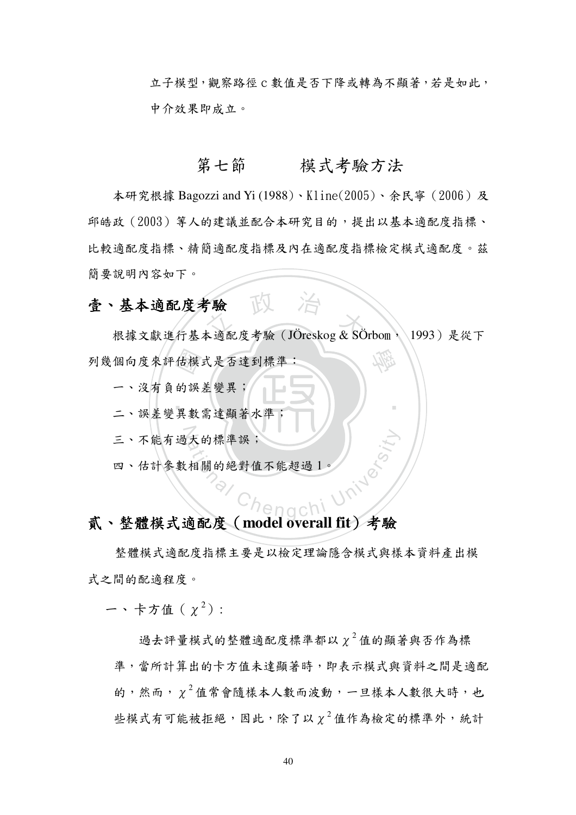立子模型, 觀察路徑 c 數值是否下降或轉為不顯著, 若是如此, 中介效果即成立。

#### 第七節 模式考驗方法

本研究根據 Bagozzi and Yi (1988)、Kline(2005)、余民寧 (2006)及 邱皓政 (2003) 等人的建議並配合本研究目的,提出以基本適配度指標、 比較適配度指標、精簡適配度指標及內在適配度指標檢定模式適配度。茲 簡要說明內容如下。

### 壹、基本適配度考驗 下

根據文獻進行基本適配度考驗 (JÖreskog & SÖrbom, 1993) 是從下 列幾個向度來評估模式是否達到標準:

一、沒有自的誤差變異;

二、誤差變異數需達顯著水準

三、不能有過大的標準誤;

四、估計參數相關的絕對值不能超過1

#### 貳、整體模式適配度 (model overall fit) 考驗

整體模式適配度指標主要是以檢定理論隱含模式與樣本資料產出模 式之間的配適程度。

ー、卡方值  $(y^2)$ :

過去評量模式的整體適配度標準都以 γ<sup>2</sup>值的顯著與否作為標 準,當所計算出的卡方值未達顯著時,即表示模式與資料之間是適配 的,然而, γ<sup>2</sup>值常會隨樣本人數而波動, 一旦樣本人數很大時, 也 些模式有可能被拒絕,因此,除了以 χ<sup>2</sup>值作為檢定的標準外,統計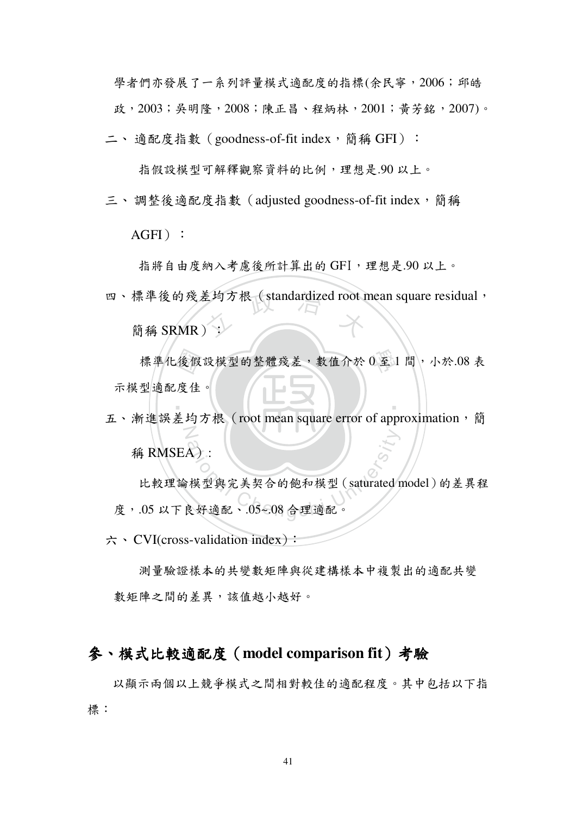學者們亦發展了一系列評量模式適配度的指標(余民寧,2006;邱皓 政, 2003; 吳明隆, 2008; 陳正昌、程炳林, 2001; 黃芳銘, 2007)。

二、適配度指數 (goodness-of-fit index,簡稱 GFI):

指假設模型可解釋觀察資料的比例,理想是.90 以上。

三、調整後適配度指數 (adjusted goodness-of-fit index, 簡稱

 $AGFI$  :

指將自由度納入考慮後所計算出的 GFI, 理想是.90 以上。

四、標準後的殘差均方根(standardized root mean square residual,<br>簡稱 SRMR):

簡稱 SRMR):

標準化後假設模型的整體殘差,數值介於 0 至 1 間, 小於.08 表<br>型適配度佳。<br>f維誤美均方根 (root mean square error of annroximation, 顔 示模型適配度佳。

‧

N 五、漸進誤差均方根 (root mean square error of approximation, 簡 稱 RMSEA):

稱 RMSEA):<br>比較理論模型與完美契合的飽和模型 (saturated r<br>度,.05 以下良好適配、.05~.08 合理適配。 比較理論模型與完美契合的飽和模型 (saturated model)的差異程

 $\pi \cdot$  CVI(cross-validation index):

測量驗證樣本的共變數矩陣與從建構樣本中複製出的適配共變 數矩陣之間的差異,該值越小越好。

#### 参、模式比較適配度 (model comparison fit) 考驗

以顯示兩個以上競爭模式之間相對較佳的適配程度。其中包括以下指 標: